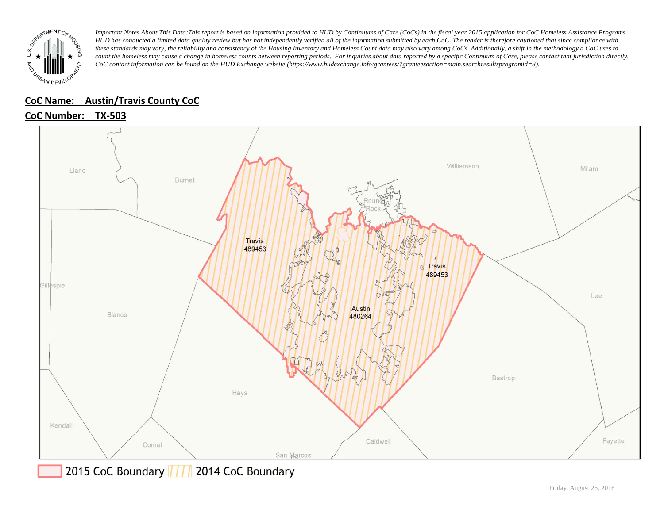

### **CoC Name: \_\_ Austin/Travis County CoC**

# **CoC Number: TX-503**



2015 CoC Boundary 777 2014 CoC Boundary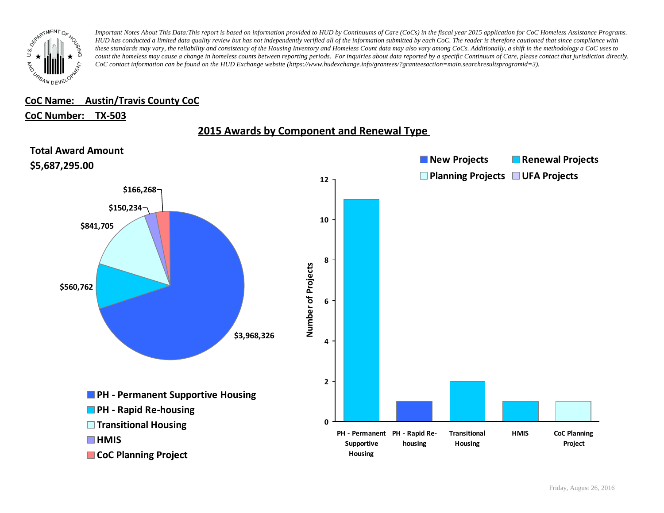

#### **CoC Name: \_\_ Austin/Travis County CoC**

#### **CoC Number: TX-503**



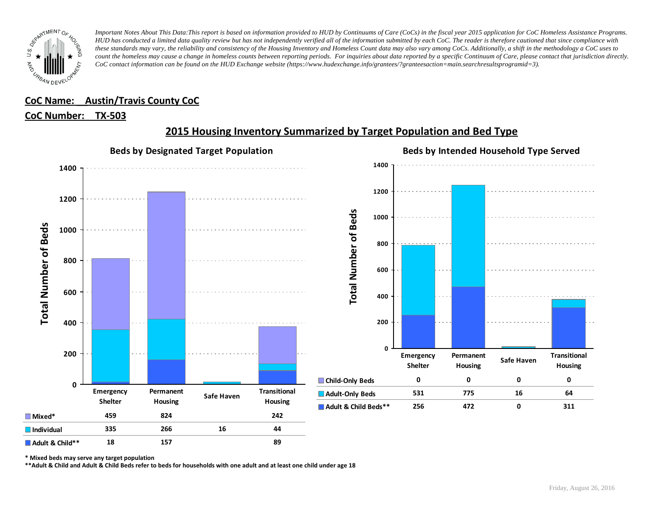

## **CoC Name: \_\_ Austin/Travis County CoC**

#### **CoC Number: TX-503**



# **2015 Housing Inventory Summarized by Target Population and Bed Type**

**\* Mixed beds may serve any target population**

**\*\*Adult & Child and Adult & Child Beds refer to beds for households with one adult and at least one child under age 18**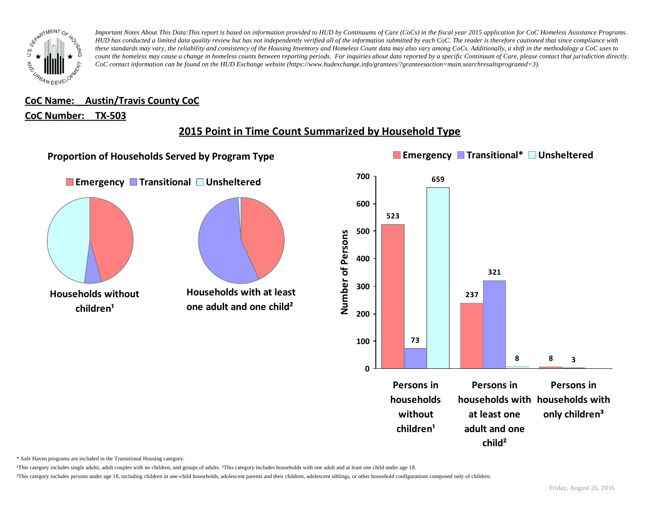

**CoC Name: \_\_ Austin/Travis County CoC**

#### **CoC Number: TX-503**

# **2015 Point in Time Count Summarized by Household Type**



\* Safe Haven programs are included in the Transitional Housing category.

¹This category includes single adults, adult couples with no children, and groups of adults. ²This category includes households with one adult and at least one child under age 18.

<sup>3</sup>This category includes persons under age 18, including children in one-child households, adolescent parents and their children, adolescent siblings, or other household configurations composed only of children.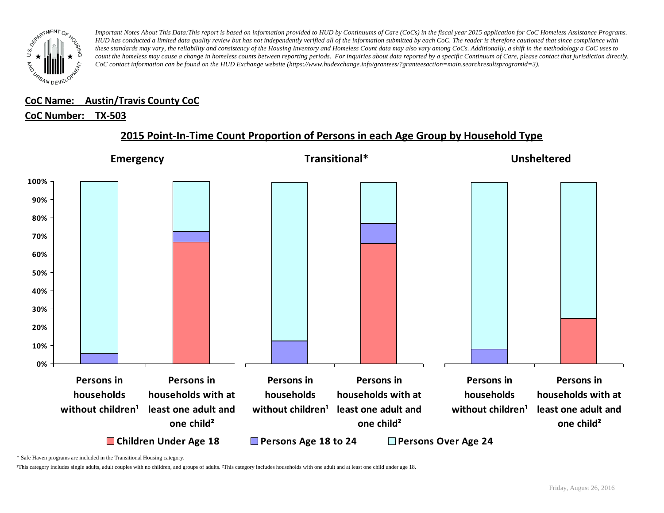

#### **CoC Name: \_\_ Austin/Travis County CoC** ¹This category includes single adults, adult couples with no children, and groups of adults. ²This category includes households with one adult and at least one child under age 18.

# <u>CoC Number: TX-503</u>

# **2015 Point-In-Time Count Proportion of Persons in each Age Group by Household Type**



\* Safe Haven programs are included in the Transitional Housing category.

¹This category includes single adults, adult couples with no children, and groups of adults. ²This category includes households with one adult and at least one child under age 18.